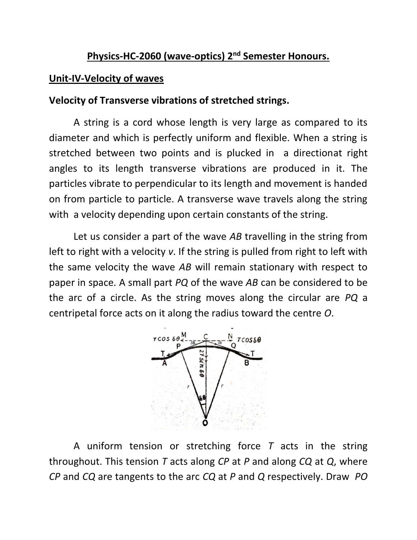## **Physics-HC-2060 (wave-optics) 2nd Semester Honours.**

## **Unit-IV-Velocity of waves**

## **Velocity of Transverse vibrations of stretched strings.**

A string is a cord whose length is very large as compared to its diameter and which is perfectly uniform and flexible. When a string is stretched between two points and is plucked in a directionat right angles to its length transverse vibrations are produced in it. The particles vibrate to perpendicular to its length and movement is handed on from particle to particle. A transverse wave travels along the string with a velocity depending upon certain constants of the string.

Let us consider a part of the wave *AB* travelling in the string from left to right with a velocity *v*. If the string is pulled from right to left with the same velocity the wave *AB* will remain stationary with respect to paper in space. A small part *PQ* of the wave *AB* can be considered to be the arc of a circle. As the string moves along the circular are *PQ* a centripetal force acts on it along the radius toward the centre *O*.



A uniform tension or stretching force *T* acts in the string throughout. This tension *T* acts along *CP* at *P* and along *CQ* at *Q*, where *CP* and *CQ* are tangents to the arc *CQ* at *P* and *Q* respectively. Draw *PO*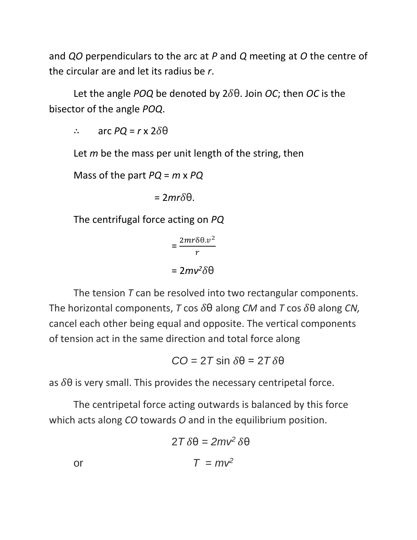and *QO* perpendiculars to the arc at *P* and *Q* meeting at *O* the centre of the circular are and let its radius be *r*.

Let the angle *POQ* be denoted by 2θ. Join *OC*; then *OC* is the bisector of the angle *POQ*.

∴ arc  $PQ = r \times 2\delta\theta$ 

Let *m* be the mass per unit length of the string, then

Mass of the part *PQ* = *m* x *PQ*

 $= 2mr\delta\theta$ .

The centrifugal force acting on *PQ*

$$
=\frac{2mr\delta\theta.v^2}{r}
$$

$$
=2mv^2\delta\theta
$$

The tension *T* can be resolved into two rectangular components. The horizontal components, *T* cos θ along *CM* and *T* cos θ along *CN,* cancel each other being equal and opposite. The vertical components of tension act in the same direction and total force along

$$
CO = 2T \sin \delta\theta = 2T \delta\theta
$$

as  $\delta\theta$  is very small. This provides the necessary centripetal force.

The centripetal force acting outwards is balanced by this force which acts along *CO* towards *O* and in the equilibrium position.

$$
2T\delta\theta = 2mv^2\delta\theta
$$
\nor\n
$$
T = mv^2
$$